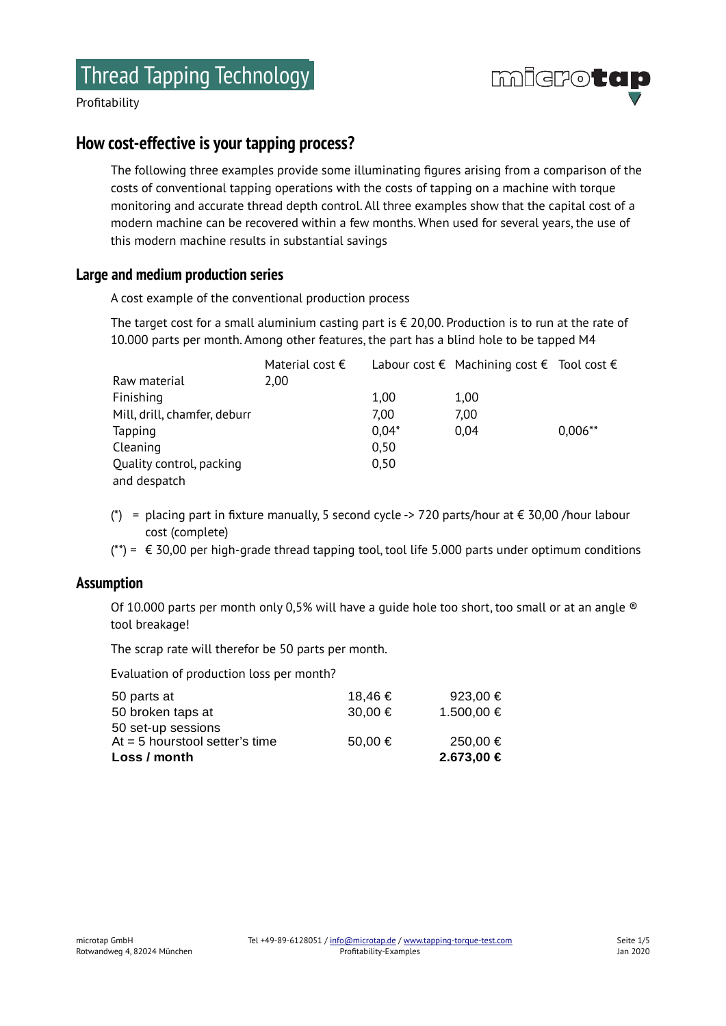

# **How cost-effective is your tapping process?**

The following three examples provide some illuminating figures arising from a comparison of the costs of conventional tapping operations with the costs of tapping on a machine with torque monitoring and accurate thread depth control. All three examples show that the capital cost of a modern machine can be recovered within a few months. When used for several years, the use of this modern machine results in substantial savings

# **Large and medium production series**

A cost example of the conventional production process

The target cost for a small aluminium casting part is  $\epsilon$  20,00. Production is to run at the rate of 10.000 parts per month. Among other features, the part has a blind hole to be tapped M4

|                              | Material cost $\epsilon$ |         | Labour cost $\epsilon$ Machining cost $\epsilon$ Tool cost $\epsilon$ |           |
|------------------------------|--------------------------|---------|-----------------------------------------------------------------------|-----------|
| Raw material                 | 2,00                     |         |                                                                       |           |
| Finishing                    |                          | 1,00    | 1,00                                                                  |           |
| Mill, drill, chamfer, deburr |                          | 7,00    | 7,00                                                                  |           |
| Tapping                      |                          | $0,04*$ | 0.04                                                                  | $0,006**$ |
| Cleaning                     |                          | 0,50    |                                                                       |           |
| Quality control, packing     |                          | 0,50    |                                                                       |           |
| and despatch                 |                          |         |                                                                       |           |

- (\*) = placing part in fixture manually, 5 second cycle -> 720 parts/hour at  $\epsilon$  30,00 /hour labour cost (complete)
- $(**) = \epsilon$  30,00 per high-grade thread tapping tool, tool life 5.000 parts under optimum conditions

#### **Assumption**

Of 10.000 parts per month only 0,5% will have a quide hole too short, too small or at an angle <sup>®</sup> tool breakage!

The scrap rate will therefor be 50 parts per month.

Evaluation of production loss per month?

| Loss / month                     |         | 2.673,00 € |
|----------------------------------|---------|------------|
| At $=$ 5 hourstool setter's time | 50.00 € | 250,00 €   |
| 50 set-up sessions               |         |            |
| 50 broken taps at                | 30,00 € | 1.500,00 € |
| 50 parts at                      | 18.46€  | 923,00 €   |
|                                  |         |            |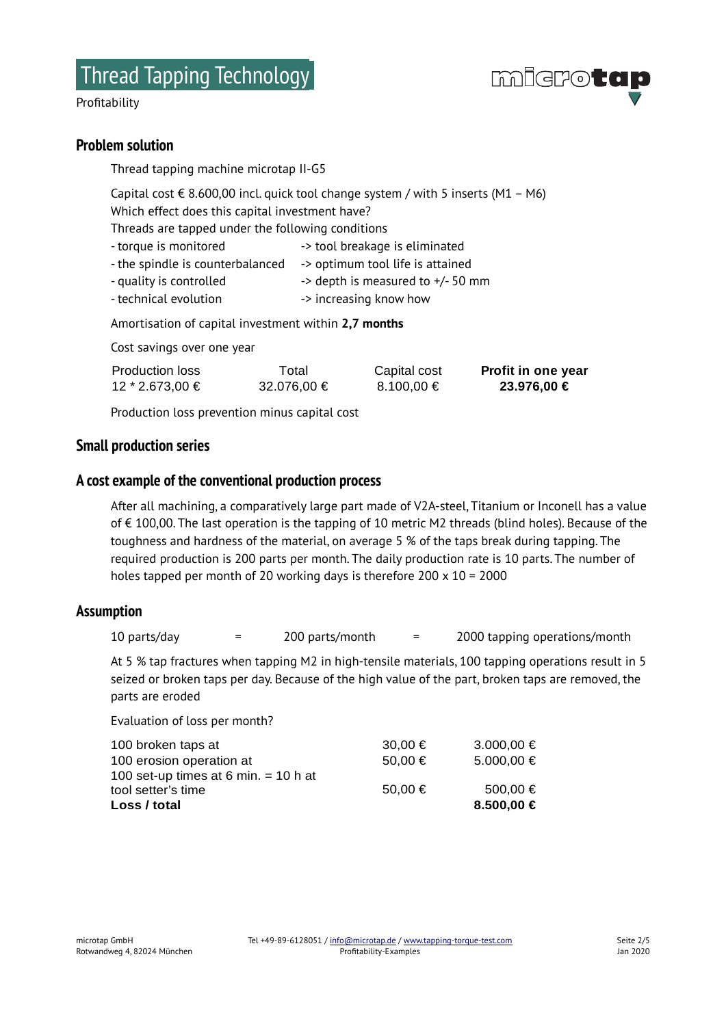# **Problem solution**

Thread tapping machine microtap II-G5

Capital cost € 8.600,00 incl. quick tool change system / with 5 inserts (M1 – M6) Which effect does this capital investment have? Threads are tapped under the following conditions

- torque is monitored  $\rightarrow$  tool breakage is eliminated
- the spindle is counterbalanced -> optimum tool life is attained
- quality is controlled  $\rightarrow$  depth is measured to  $+/-50$  mm
- technical evolution -> increasing know how

Amortisation of capital investment within **2,7 months**

Cost savings over one year

| Production loss | Total       | Capital cost | Profit in one year |
|-----------------|-------------|--------------|--------------------|
| 12 * 2.673,00 € | 32.076,00 € | 8.100.00 €   | 23.976,00 €        |

Production loss prevention minus capital cost

#### **Small production series**

# **A cost example of the conventional production process**

After all machining, a comparatively large part made of V2A-steel, Titanium or Inconell has a value of € 100,00. The last operation is the tapping of 10 metric M2 threads (blind holes). Because of the toughness and hardness of the material, on average 5 % of the taps break during tapping. The required production is 200 parts per month. The daily production rate is 10 parts. The number of holes tapped per month of 20 working days is therefore 200 x 10 = 2000

#### **Assumption**

10 parts/day  $=$  200 parts/month  $=$  2000 tapping operations/month

At 5 % tap fractures when tapping M2 in high-tensile materials, 100 tapping operations result in 5 seized or broken taps per day. Because of the high value of the part, broken taps are removed, the parts are eroded

Evaluation of loss per month?

| 100 broken taps at                     | 30,00 € | 3.000.00 € |
|----------------------------------------|---------|------------|
| 100 erosion operation at               | 50.00 € | 5.000,00 € |
| 100 set-up times at 6 min. $=$ 10 h at |         |            |
| tool setter's time                     | 50.00 € | 500.00 €   |
| Loss / total                           |         | 8.500,00 € |

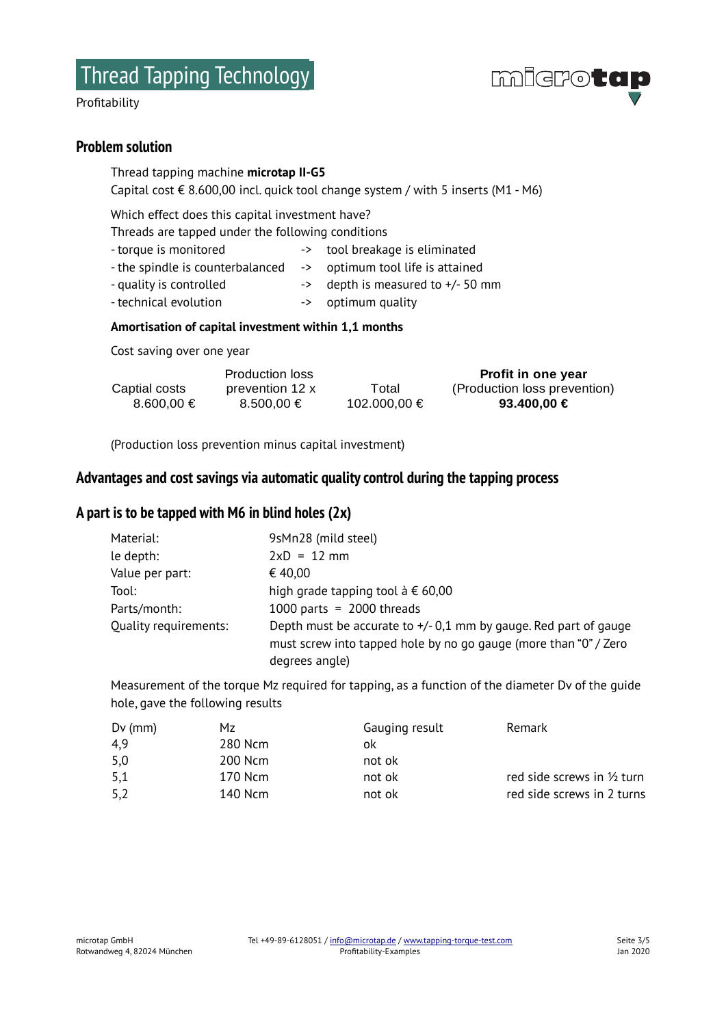

#### **Problem solution**

Thread tapping machine **microtap II-G5** Capital cost € 8.600,00 incl. quick tool change system / with 5 inserts (M1 - M6)

Which effect does this capital investment have?

Threads are tapped under the following conditions

- torque is monitored -> tool breakage is eliminated
- the spindle is counterbalanced -> optimum tool life is attained
- 
- quality is controlled -> depth is measured to +/- 50 mm
- technical evolution -> optimum quality
- 

#### **Amortisation of capital investment within 1,1 months**

Cost saving over one year

|                   | <b>Production loss</b> |                     | Profit in one year           |
|-------------------|------------------------|---------------------|------------------------------|
| Captial costs     | prevention 12 x        | Total               | (Production loss prevention) |
| $8.600.00 \notin$ | $8.500.00 \in$         | $102,000,00 \notin$ | 93.400.00 €                  |

(Production loss prevention minus capital investment)

# **Advantages and cost savings via automatic quality control during the tapping process**

# **A part is to be tapped with M6 in blind holes (2x)**

| Material:             | 9sMn28 (mild steel)                                                                                                                                      |
|-----------------------|----------------------------------------------------------------------------------------------------------------------------------------------------------|
| le depth:             | $2xD = 12 mm$                                                                                                                                            |
| Value per part:       | € 40,00                                                                                                                                                  |
| Tool:                 | high grade tapping tool $\land \in 60,00$                                                                                                                |
| Parts/month:          | 1000 parts = $2000$ threads                                                                                                                              |
| Quality requirements: | Depth must be accurate to $+/-$ 0,1 mm by gauge. Red part of gauge<br>must screw into tapped hole by no go gauge (more than "0" / Zero<br>degrees angle) |

Measurement of the torque Mz required for tapping, as a function of the diameter Dv of the guide hole, gave the following results

| $Dv$ (mm) | Mz      | Gauging result | Remark                      |
|-----------|---------|----------------|-----------------------------|
| 4,9       | 280 Ncm | ok             |                             |
| 5,0       | 200 Ncm | not ok         |                             |
| 5,1       | 170 Ncm | not ok         | red side screws in 1/2 turn |
| 5,2       | 140 Ncm | not ok         | red side screws in 2 turns  |

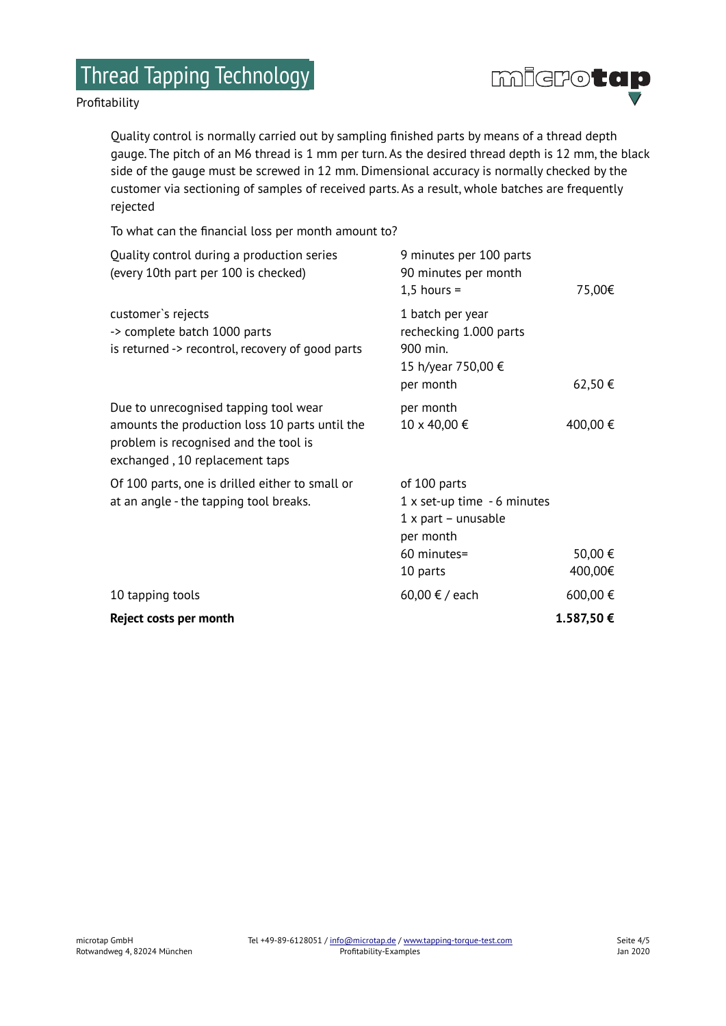# Thread Tapping Technology

Profitability



Quality control is normally carried out by sampling finished parts by means of a thread depth gauge. The pitch of an M6 thread is 1 mm per turn. As the desired thread depth is 12 mm, the black side of the gauge must be screwed in 12 mm. Dimensional accuracy is normally checked by the customer via sectioning of samples of received parts. As a result, whole batches are frequently rejected

To what can the financial loss per month amount to?

| Reject costs per month                                                                                                                                             |                                                                                                              | 1.587,50€          |
|--------------------------------------------------------------------------------------------------------------------------------------------------------------------|--------------------------------------------------------------------------------------------------------------|--------------------|
| 10 tapping tools                                                                                                                                                   | 60,00 € / each                                                                                               | 600,00 €           |
| Of 100 parts, one is drilled either to small or<br>at an angle - the tapping tool breaks.                                                                          | of 100 parts<br>$1x$ set-up time $-6$ minutes<br>1 x part - unusable<br>per month<br>60 minutes=<br>10 parts | 50,00 €<br>400,00€ |
| Due to unrecognised tapping tool wear<br>amounts the production loss 10 parts until the<br>problem is recognised and the tool is<br>exchanged, 10 replacement taps | per month<br>10 x 40,00 €                                                                                    | 400,00 €           |
| customer's rejects<br>-> complete batch 1000 parts<br>is returned -> recontrol, recovery of good parts                                                             | 1 batch per year<br>rechecking 1.000 parts<br>900 min.<br>15 h/year 750,00 €<br>per month                    | 62,50€             |
| Quality control during a production series<br>(every 10th part per 100 is checked)                                                                                 | 9 minutes per 100 parts<br>90 minutes per month<br>$1,5$ hours =                                             | 75,00€             |